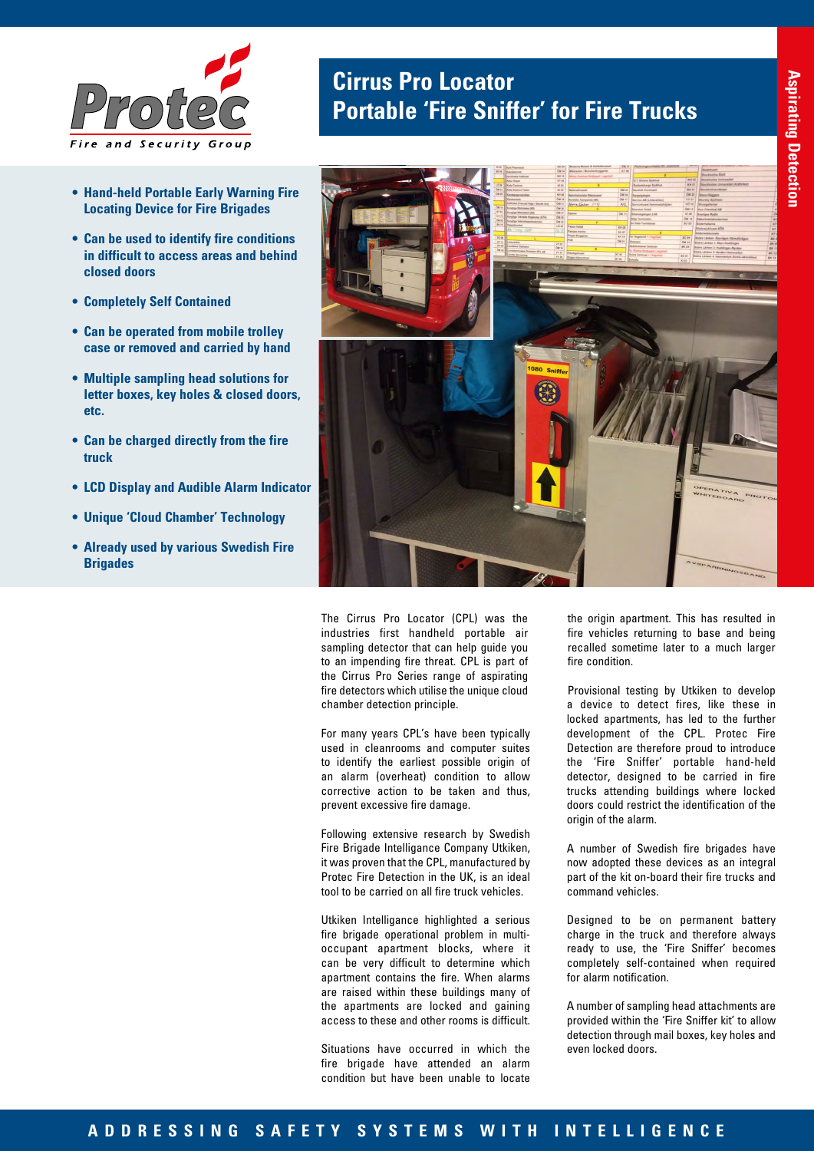

- **• Hand-held Portable Early Warning Fire Locating Device for Fire Brigades**
- **• Can be used to identify fire conditions in difficult to access areas and behind closed doors**
- **• Completely Self Contained**
- **• Can be operated from mobile trolley case or removed and carried by hand**
- **• Multiple sampling head solutions for letter boxes, key holes & closed doors, etc.**
- **• Can be charged directly from the fire truck**
- **• LCD Display and Audible Alarm Indicator**
- **• Unique 'Cloud Chamber' Technology**
- **• Already used by various Swedish Fire Brigades**

# **Cirrus Pro Locator Portable 'Fire Sniffer' for Fire Trucks**



The Cirrus Pro Locator (CPL) was the industries first handheld portable air sampling detector that can help guide you to an impending fire threat. CPL is part of the Cirrus Pro Series range of aspirating fire detectors which utilise the unique cloud chamber detection principle.

For many years CPL's have been typically used in cleanrooms and computer suites to identify the earliest possible origin of an alarm (overheat) condition to allow corrective action to be taken and thus, prevent excessive fire damage.

Following extensive research by Swedish Fire Brigade Intelligance Company Utkiken, it was proven that the CPL, manufactured by Protec Fire Detection in the UK, is an ideal tool to be carried on all fire truck vehicles.

Utkiken Intelligance highlighted a serious fire brigade operational problem in multioccupant apartment blocks, where it can be very difficult to determine which apartment contains the fire. When alarms are raised within these buildings many of the apartments are locked and gaining access to these and other rooms is difficult.

Situations have occurred in which the fire brigade have attended an alarm condition but have been unable to locate

the origin apartment. This has resulted in fire vehicles returning to base and being recalled sometime later to a much larger fire condition.

Provisional testing by Utkiken to develop a device to detect fires, like these in locked apartments, has led to the further development of the CPL. Protec Fire Detection are therefore proud to introduce the 'Fire Sniffer' portable hand-held detector, designed to be carried in fire trucks attending buildings where locked doors could restrict the identification of the origin of the alarm.

A number of Swedish fire brigades have now adopted these devices as an integral part of the kit on-board their fire trucks and command vehicles.

Designed to be on permanent battery charge in the truck and therefore always ready to use, the 'Fire Sniffer' becomes completely self-contained when required for alarm notification.

A number of sampling head attachments are provided within the 'Fire Sniffer kit' to allow detection through mail boxes, key holes and even locked doors.